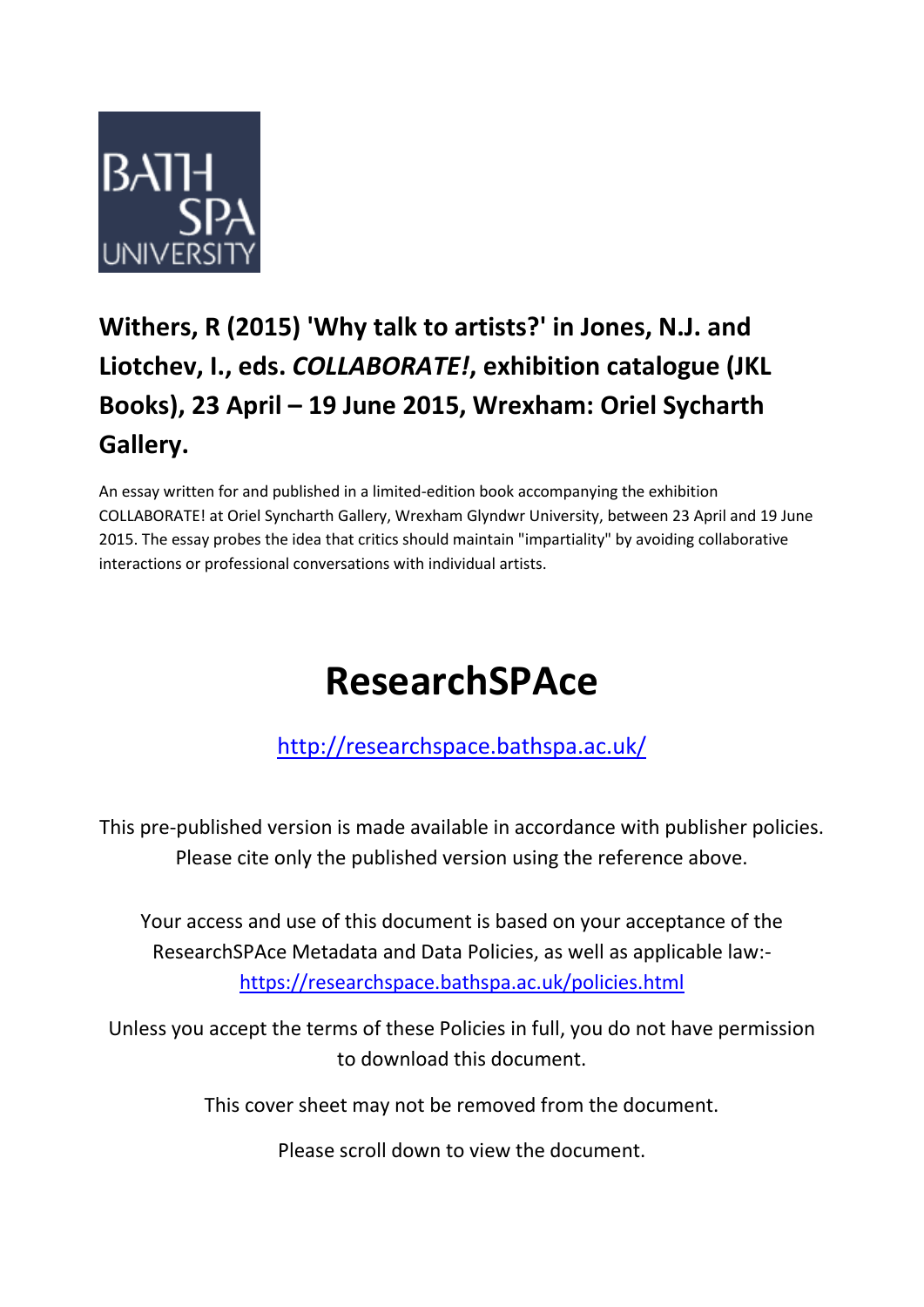

## **Withers, R (2015) 'Why talk to artists?' in Jones, N.J. and Liotchev, I., eds.** *COLLABORATE!***, exhibition catalogue (JKL Books), 23 April – 19 June 2015, Wrexham: Oriel Sycharth Gallery.**

An essay written for and published in a limited-edition book accompanying the exhibition COLLABORATE! at Oriel Syncharth Gallery, Wrexham Glyndwr University, between 23 April and 19 June 2015. The essay probes the idea that critics should maintain "impartiality" by avoiding collaborative interactions or professional conversations with individual artists.

# **ResearchSPAce**

## <http://researchspace.bathspa.ac.uk/>

This pre-published version is made available in accordance with publisher policies. Please cite only the published version using the reference above.

Your access and use of this document is based on your acceptance of the ResearchSPAce Metadata and Data Policies, as well as applicable law: https://researchspace.bathspa.ac.uk/policies.html

Unless you accept the terms of these Policies in full, you do not have permission to download this document.

This cover sheet may not be removed from the document.

Please scroll down to view the document.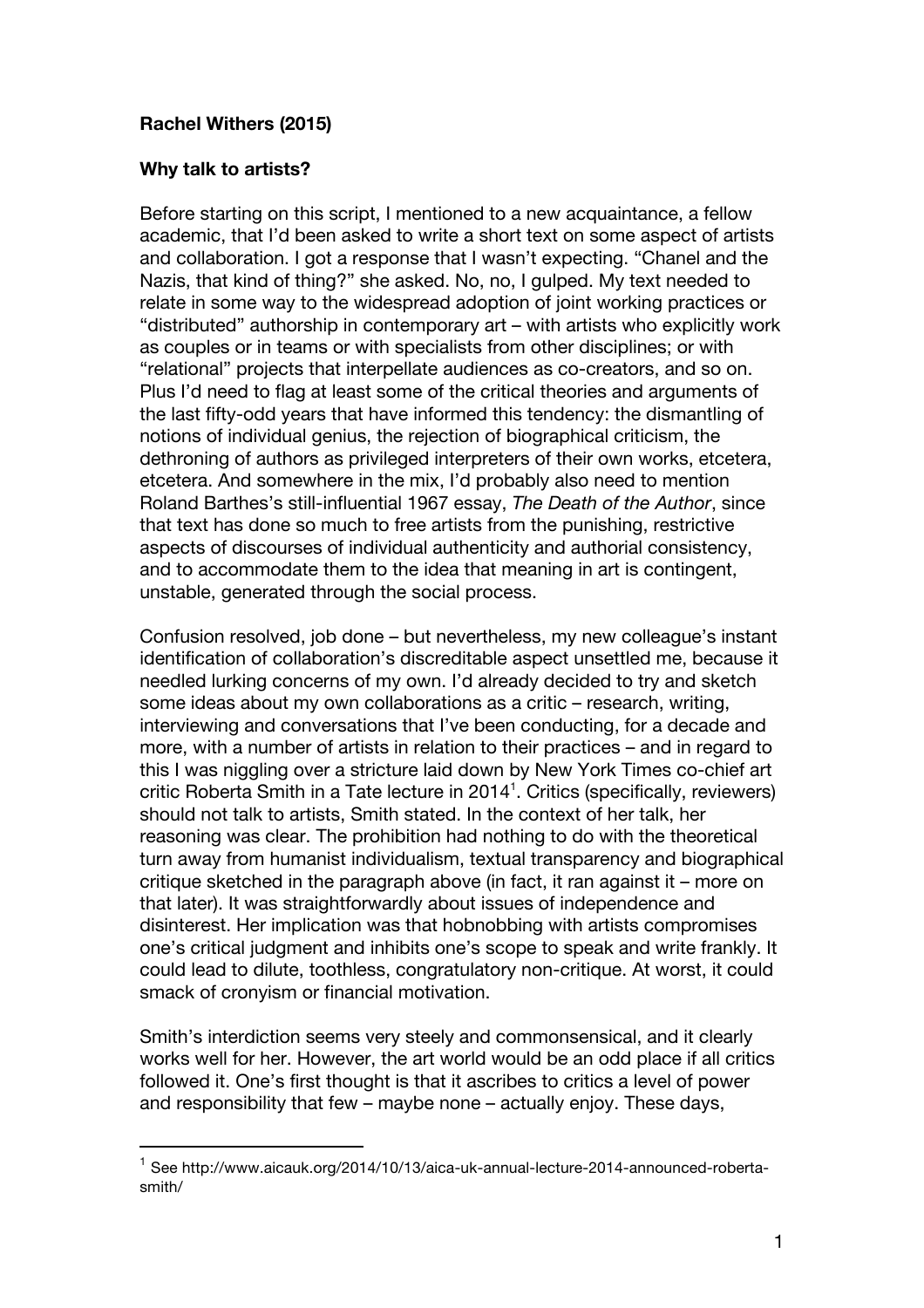### **Rachel Withers (2015)**

#### **Why talk to artists?**

Before starting on this script, I mentioned to a new acquaintance, a fellow academic, that I'd been asked to write a short text on some aspect of artists and collaboration. I got a response that I wasn't expecting. "Chanel and the Nazis, that kind of thing?" she asked. No, no, I gulped. My text needed to relate in some way to the widespread adoption of joint working practices or "distributed" authorship in contemporary art – with artists who explicitly work as couples or in teams or with specialists from other disciplines; or with "relational" projects that interpellate audiences as co-creators, and so on. Plus I'd need to flag at least some of the critical theories and arguments of the last fifty-odd years that have informed this tendency: the dismantling of notions of individual genius, the rejection of biographical criticism, the dethroning of authors as privileged interpreters of their own works, etcetera, etcetera. And somewhere in the mix, I'd probably also need to mention Roland Barthes's still-influential 1967 essay, *The Death of the Author*, since that text has done so much to free artists from the punishing, restrictive aspects of discourses of individual authenticity and authorial consistency, and to accommodate them to the idea that meaning in art is contingent, unstable, generated through the social process.

Confusion resolved, job done – but nevertheless, my new colleague's instant identification of collaboration's discreditable aspect unsettled me, because it needled lurking concerns of my own. I'd already decided to try and sketch some ideas about my own collaborations as a critic – research, writing, interviewing and conversations that I've been conducting, for a decade and more, with a number of artists in relation to their practices – and in regard to this I was niggling over a stricture laid down by New York Times co-chief art critic Roberta Smith in a Tate lecture in 2014<sup>1</sup>. Critics (specifically, reviewers) should not talk to artists, Smith stated. In the context of her talk, her reasoning was clear. The prohibition had nothing to do with the theoretical turn away from humanist individualism, textual transparency and biographical critique sketched in the paragraph above (in fact, it ran against it – more on that later). It was straightforwardly about issues of independence and disinterest. Her implication was that hobnobbing with artists compromises one's critical judgment and inhibits one's scope to speak and write frankly. It could lead to dilute, toothless, congratulatory non-critique. At worst, it could smack of cronyism or financial motivation.

Smith's interdiction seems very steely and commonsensical, and it clearly works well for her. However, the art world would be an odd place if all critics followed it. One's first thought is that it ascribes to critics a level of power and responsibility that few – maybe none – actually enjoy. These days,

 $<sup>1</sup>$  See http://www.aicauk.org/2014/10/13/aica-uk-annual-lecture-2014-announced-roberta-</sup> smith/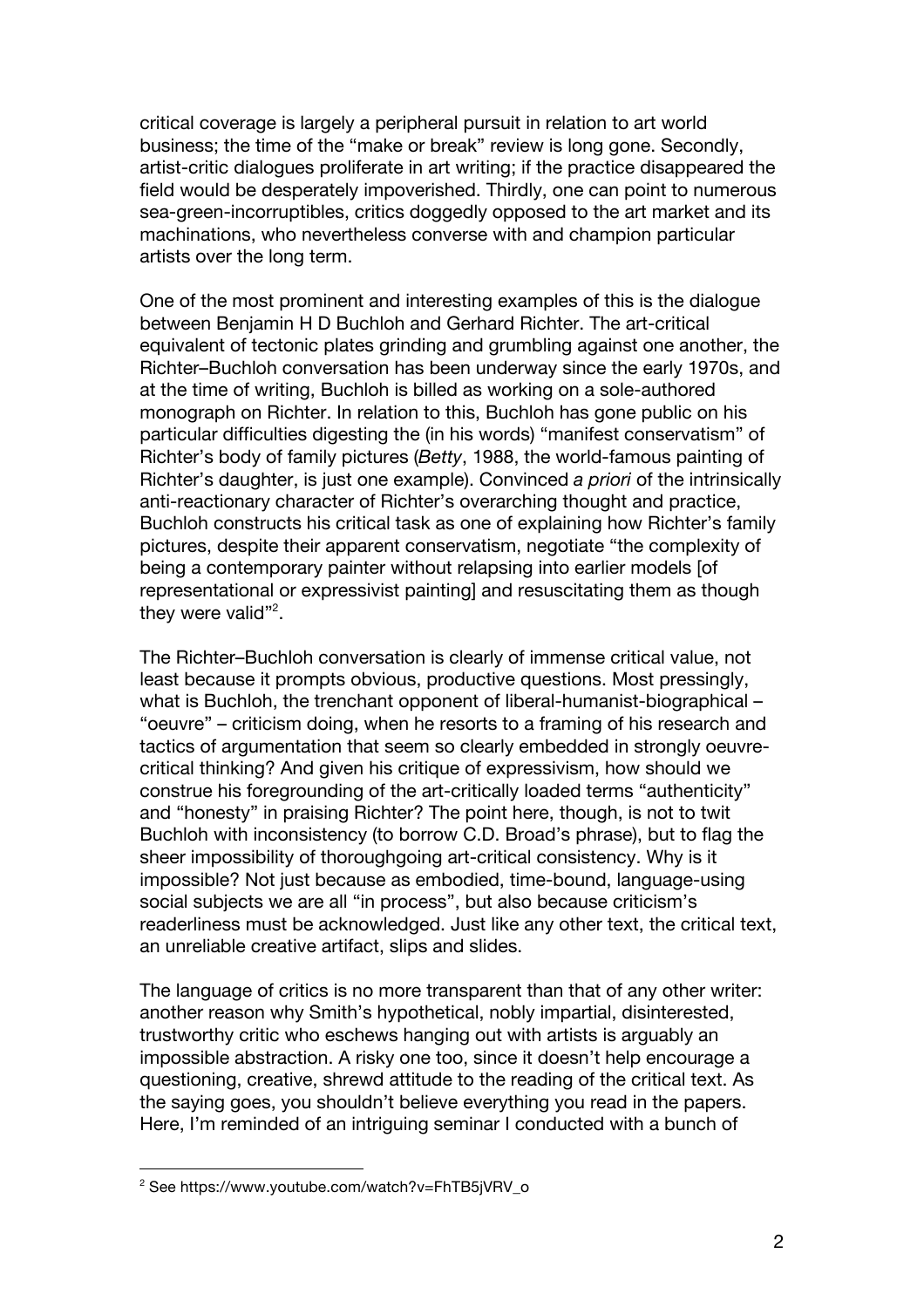critical coverage is largely a peripheral pursuit in relation to art world business; the time of the "make or break" review is long gone. Secondly, artist-critic dialogues proliferate in art writing; if the practice disappeared the field would be desperately impoverished. Thirdly, one can point to numerous sea-green-incorruptibles, critics doggedly opposed to the art market and its machinations, who nevertheless converse with and champion particular artists over the long term.

One of the most prominent and interesting examples of this is the dialogue between Benjamin H D Buchloh and Gerhard Richter. The art-critical equivalent of tectonic plates grinding and grumbling against one another, the Richter–Buchloh conversation has been underway since the early 1970s, and at the time of writing, Buchloh is billed as working on a sole-authored monograph on Richter. In relation to this, Buchloh has gone public on his particular difficulties digesting the (in his words) "manifest conservatism" of Richter's body of family pictures (*Betty*, 1988, the world-famous painting of Richter's daughter, is just one example). Convinced *a priori* of the intrinsically anti-reactionary character of Richter's overarching thought and practice, Buchloh constructs his critical task as one of explaining how Richter's family pictures, despite their apparent conservatism, negotiate "the complexity of being a contemporary painter without relapsing into earlier models [of representational or expressivist painting] and resuscitating them as though they were valid"<sup>2</sup>.

The Richter–Buchloh conversation is clearly of immense critical value, not least because it prompts obvious, productive questions. Most pressingly, what is Buchloh, the trenchant opponent of liberal-humanist-biographical – "oeuvre" – criticism doing, when he resorts to a framing of his research and tactics of argumentation that seem so clearly embedded in strongly oeuvrecritical thinking? And given his critique of expressivism, how should we construe his foregrounding of the art-critically loaded terms "authenticity" and "honesty" in praising Richter? The point here, though, is not to twit Buchloh with inconsistency (to borrow C.D. Broad's phrase), but to flag the sheer impossibility of thoroughgoing art-critical consistency. Why is it impossible? Not just because as embodied, time-bound, language-using social subjects we are all "in process", but also because criticism's readerliness must be acknowledged. Just like any other text, the critical text, an unreliable creative artifact, slips and slides.

The language of critics is no more transparent than that of any other writer: another reason why Smith's hypothetical, nobly impartial, disinterested, trustworthy critic who eschews hanging out with artists is arguably an impossible abstraction. A risky one too, since it doesn't help encourage a questioning, creative, shrewd attitude to the reading of the critical text. As the saying goes, you shouldn't believe everything you read in the papers. Here, I'm reminded of an intriguing seminar I conducted with a bunch of

 <sup>2</sup> See https://www.youtube.com/watch?v=FhTB5jVRV\_o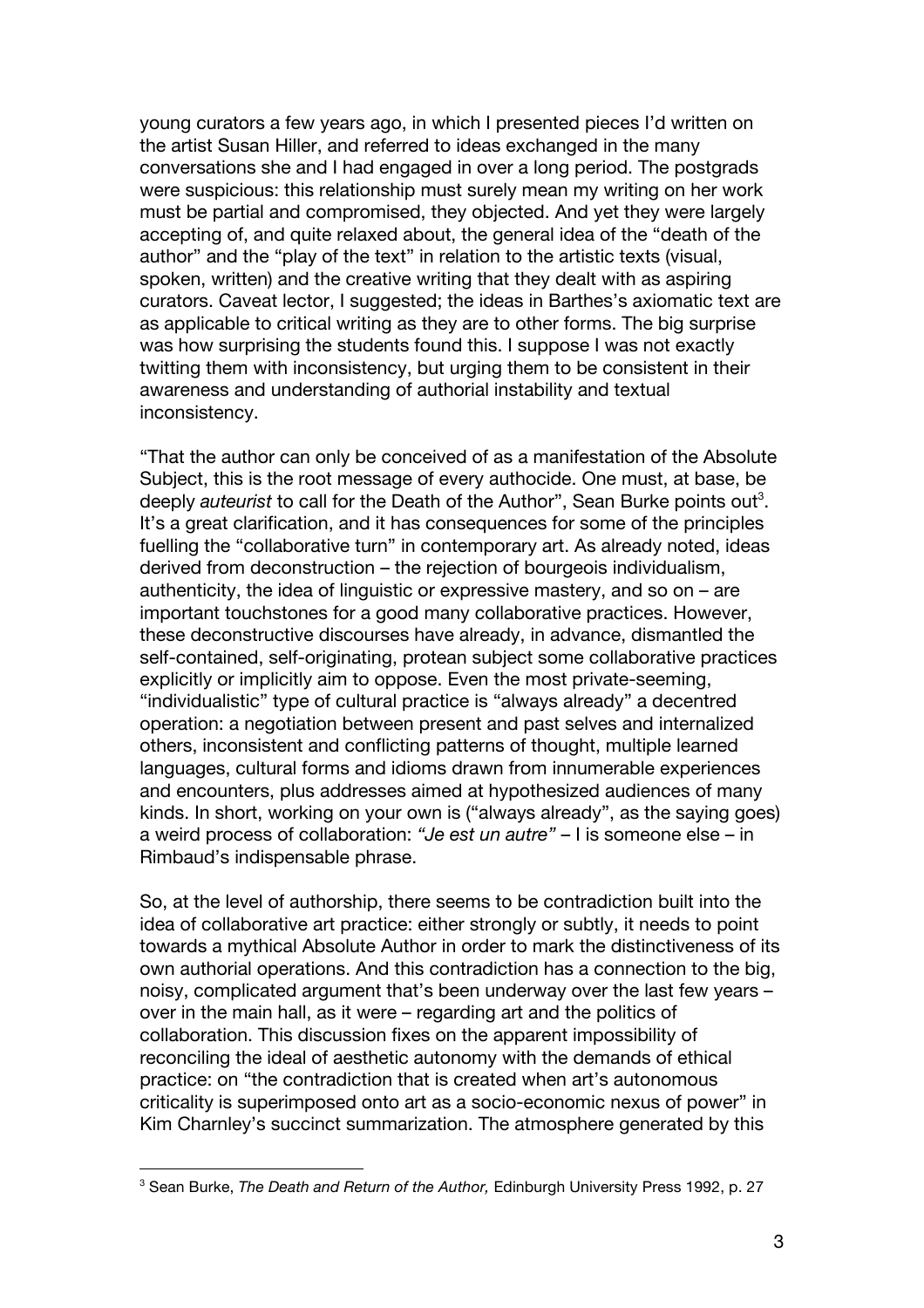young curators a few years ago, in which I presented pieces I'd written on the artist Susan Hiller, and referred to ideas exchanged in the many conversations she and I had engaged in over a long period. The postgrads were suspicious: this relationship must surely mean my writing on her work must be partial and compromised, they objected. And yet they were largely accepting of, and quite relaxed about, the general idea of the "death of the author" and the "play of the text" in relation to the artistic texts (visual, spoken, written) and the creative writing that they dealt with as aspiring curators. Caveat lector, I suggested; the ideas in Barthes's axiomatic text are as applicable to critical writing as they are to other forms. The big surprise was how surprising the students found this. I suppose I was not exactly twitting them with inconsistency, but urging them to be consistent in their awareness and understanding of authorial instability and textual inconsistency.

"That the author can only be conceived of as a manifestation of the Absolute Subject, this is the root message of every authocide. One must, at base, be deeply *auteurist* to call for the Death of the Author", Sean Burke points out<sup>3</sup>. It's a great clarification, and it has consequences for some of the principles fuelling the "collaborative turn" in contemporary art. As already noted, ideas derived from deconstruction – the rejection of bourgeois individualism, authenticity, the idea of linguistic or expressive mastery, and so on – are important touchstones for a good many collaborative practices. However, these deconstructive discourses have already, in advance, dismantled the self-contained, self-originating, protean subject some collaborative practices explicitly or implicitly aim to oppose. Even the most private-seeming, "individualistic" type of cultural practice is "always already" a decentred operation: a negotiation between present and past selves and internalized others, inconsistent and conflicting patterns of thought, multiple learned languages, cultural forms and idioms drawn from innumerable experiences and encounters, plus addresses aimed at hypothesized audiences of many kinds. In short, working on your own is ("always already", as the saying goes) a weird process of collaboration: *"Je est un autre"* – I is someone else – in Rimbaud's indispensable phrase.

So, at the level of authorship, there seems to be contradiction built into the idea of collaborative art practice: either strongly or subtly, it needs to point towards a mythical Absolute Author in order to mark the distinctiveness of its own authorial operations. And this contradiction has a connection to the big, noisy, complicated argument that's been underway over the last few years – over in the main hall, as it were – regarding art and the politics of collaboration. This discussion fixes on the apparent impossibility of reconciling the ideal of aesthetic autonomy with the demands of ethical practice: on "the contradiction that is created when art's autonomous criticality is superimposed onto art as a socio-economic nexus of power" in Kim Charnley's succinct summarization. The atmosphere generated by this

 <sup>3</sup> Sean Burke, *The Death and Return of the Author,* Edinburgh University Press 1992, p. 27